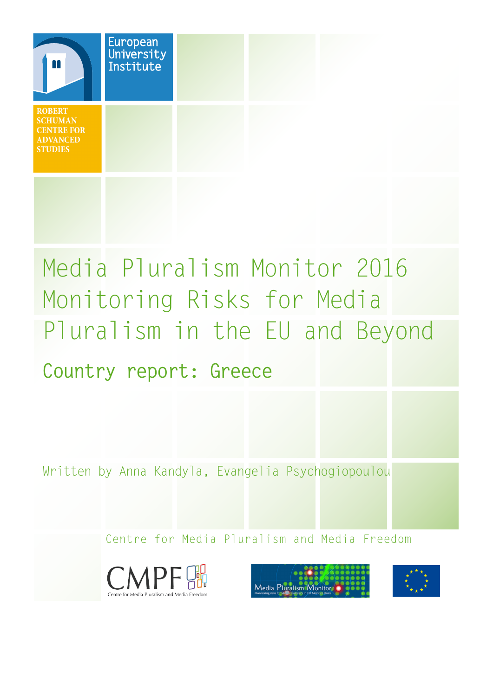

# Media Pluralism Monitor 2016 Monitoring Risks for Media Pluralism in the EU and Beyond **Country report: Greece**

Written by Anna Kandyla, Evangelia Psychogiopoulou

Centre for Media Pluralism and Media Freedom





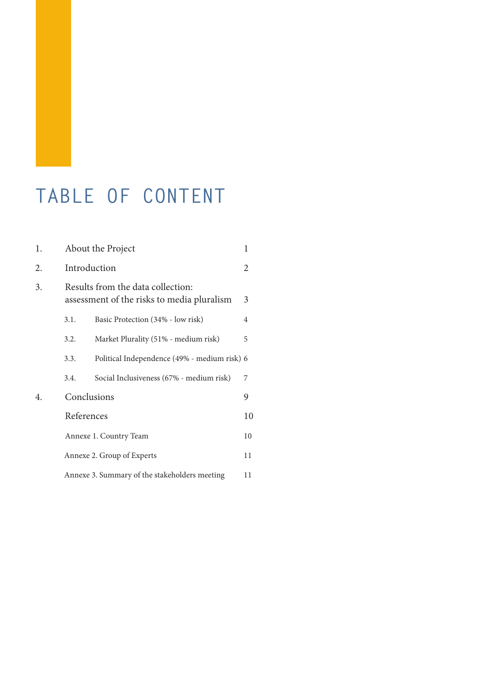### **TABLE OF CONTENT**

| 1. | About the Project<br>1                                                          |                                              |                |  |
|----|---------------------------------------------------------------------------------|----------------------------------------------|----------------|--|
| 2. | Introduction                                                                    |                                              |                |  |
| 3. | Results from the data collection:<br>assessment of the risks to media pluralism |                                              |                |  |
|    | 3.1.                                                                            | Basic Protection (34% - low risk)            | $\overline{4}$ |  |
|    | 3.2.                                                                            | Market Plurality (51% - medium risk)         | 5              |  |
|    | 3.3.                                                                            | Political Independence (49% - medium risk) 6 |                |  |
|    | 3.4.                                                                            | Social Inclusiveness (67% - medium risk)     | 7              |  |
| 4. | Conclusions                                                                     |                                              |                |  |
|    | References                                                                      |                                              |                |  |
|    | Annexe 1. Country Team                                                          |                                              |                |  |
|    | Annexe 2. Group of Experts                                                      |                                              |                |  |
|    | Annexe 3. Summary of the stakeholders meeting<br>11                             |                                              |                |  |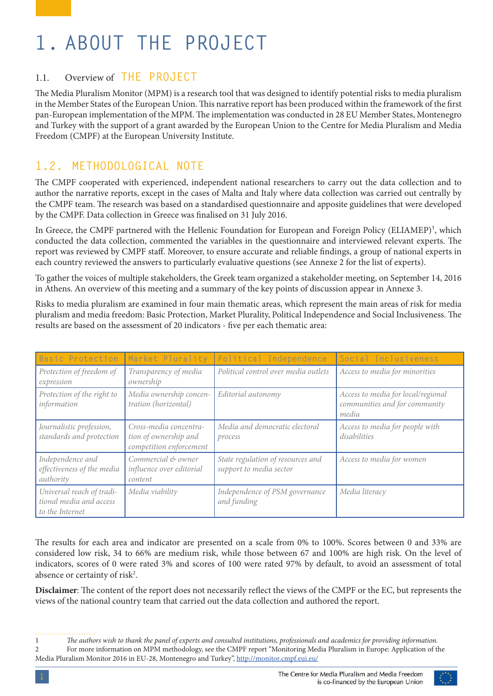# <span id="page-2-0"></span>**1. ABOUT THE PROJECT**

#### 1.1. Overview of **THE PROJECT**

The Media Pluralism Monitor (MPM) is a research tool that was designed to identify potential risks to media pluralism in the Member States of the European Union. This narrative report has been produced within the framework of the first pan-European implementation of the MPM. The implementation was conducted in 28 EU Member States, Montenegro and Turkey with the support of a grant awarded by the European Union to the Centre for Media Pluralism and Media Freedom (CMPF) at the European University Institute.

#### **1.2. METHODOLOGICAL NOTE**

The CMPF cooperated with experienced, independent national researchers to carry out the data collection and to author the narrative reports, except in the cases of Malta and Italy where data collection was carried out centrally by the CMPF team. The research was based on a standardised questionnaire and apposite guidelines that were developed by the CMPF. Data collection in Greece was finalised on 31 July 2016.

In Greece, the CMPF partnered with the Hellenic Foundation for European and Foreign Policy (ELIAMEP)<sup>1</sup>, which conducted the data collection, commented the variables in the questionnaire and interviewed relevant experts. The report was reviewed by CMPF staff. Moreover, to ensure accurate and reliable findings, a group of national experts in each country reviewed the answers to particularly evaluative questions (see Annexe 2 for the list of experts).

To gather the voices of multiple stakeholders, the Greek team organized a stakeholder meeting, on September 14, 2016 in Athens. An overview of this meeting and a summary of the key points of discussion appear in Annexe 3.

Risks to media pluralism are examined in four main thematic areas, which represent the main areas of risk for media pluralism and media freedom: Basic Protection, Market Plurality, Political Independence and Social Inclusiveness. The results are based on the assessment of 20 indicators - five per each thematic area:

| Basic Protection                                                        | Market Plurality                                                           | Political Independence                                       | Social Inclusiveness                                                         |
|-------------------------------------------------------------------------|----------------------------------------------------------------------------|--------------------------------------------------------------|------------------------------------------------------------------------------|
| Protection of freedom of<br>expression                                  | Transparency of media<br>ownership                                         | Political control over media outlets                         | Access to media for minorities                                               |
| Protection of the right to<br>information                               | Media ownership concen-<br>tration (horizontal)                            | Editorial autonomy                                           | Access to media for local/regional<br>communities and for community<br>media |
| Journalistic profession,<br>standards and protection                    | Cross-media concentra-<br>tion of ownership and<br>competition enforcement | Media and democratic electoral<br>process                    | Access to media for people with<br>disabilities                              |
| Independence and<br>effectiveness of the media<br>authority             | Commercial & owner<br>influence over editorial<br>content                  | State regulation of resources and<br>support to media sector | Access to media for women                                                    |
| Universal reach of tradi-<br>tional media and access<br>to the Internet | Media viability                                                            | Independence of PSM governance<br>and funding                | Media literacy                                                               |

The results for each area and indicator are presented on a scale from 0% to 100%. Scores between 0 and 33% are considered low risk, 34 to 66% are medium risk, while those between 67 and 100% are high risk. On the level of indicators, scores of 0 were rated 3% and scores of 100 were rated 97% by default, to avoid an assessment of total absence or certainty of risk<sup>2</sup>.

**Disclaimer**: The content of the report does not necessarily reflect the views of the CMPF or the EC, but represents the views of the national country team that carried out the data collection and authored the report.

<sup>1</sup> *The authors wish to thank the panel of experts and consulted institutions, professionals and academics for providing information.* 2 For more information on MPM methodology, see the CMPF report "Monitoring Media Pluralism in Europe: Application of the Media Pluralism Monitor 2016 in EU-28, Montenegro and Turkey", <http://monitor.cmpf.eui.eu/>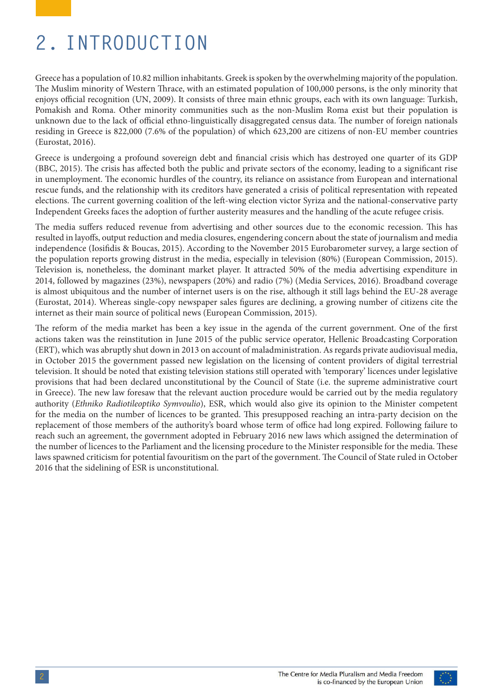### <span id="page-3-0"></span>**2. INTRODUCTION**

Greece has a population of 10.82 million inhabitants. Greek is spoken by the overwhelming majority of the population. The Muslim minority of Western Thrace, with an estimated population of 100,000 persons, is the only minority that enjoys official recognition (UN, 2009). It consists of three main ethnic groups, each with its own language: Turkish, Pomakish and Roma. Other minority communities such as the non-Muslim Roma exist but their population is unknown due to the lack of official ethno-linguistically disaggregated census data. The number of foreign nationals residing in Greece is 822,000 (7.6% of the population) of which 623,200 are citizens of non-EU member countries (Eurostat, 2016).

Greece is undergoing a profound sovereign debt and financial crisis which has destroyed one quarter of its GDP (BBC, 2015). The crisis has affected both the public and private sectors of the economy, leading to a significant rise in unemployment. The economic hurdles of the country, its reliance on assistance from European and international rescue funds, and the relationship with its creditors have generated a crisis of political representation with repeated elections. The current governing coalition of the left-wing election victor Syriza and the national-conservative party Independent Greeks faces the adoption of further austerity measures and the handling of the acute refugee crisis.

Τhe media suffers reduced revenue from advertising and other sources due to the economic recession. This has resulted in layoffs, output reduction and media closures, engendering concern about the state of journalism and media independence (Iosifidis & Boucas, 2015). According to the November 2015 Eurobarometer survey, a large section of the population reports growing distrust in the media, especially in television (80%) (European Commission, 2015). Television is, nonetheless, the dominant market player. It attracted 50% of the media advertising expenditure in 2014, followed by magazines (23%), newspapers (20%) and radio (7%) (Media Services, 2016). Broadband coverage is almost ubiquitous and the number of internet users is on the rise, although it still lags behind the EU-28 average (Eurostat, 2014). Whereas single-copy newspaper sales figures are declining, a growing number of citizens cite the internet as their main source of political news (European Commission, 2015).

The reform of the media market has been a key issue in the agenda of the current government. One of the first actions taken was the reinstitution in June 2015 of the public service operator, Hellenic Broadcasting Corporation (ERT), which was abruptly shut down in 2013 on account of maladministration. As regards private audiovisual media, in October 2015 the government passed new legislation on the licensing of content providers of digital terrestrial television. It should be noted that existing television stations still operated with 'temporary' licences under legislative provisions that had been declared unconstitutional by the Council of State (i.e. the supreme administrative court in Greece). The new law foresaw that the relevant auction procedure would be carried out by the media regulatory authority (*Ethniko Radiotileoptiko Symvoulio*), ESR, which would also give its opinion to the Minister competent for the media on the number of licences to be granted. This presupposed reaching an intra-party decision on the replacement of those members of the authority's board whose term of office had long expired. Following failure to reach such an agreement, the government adopted in February 2016 new laws which assigned the determination of the number of licences to the Parliament and the licensing procedure to the Minister responsible for the media. These laws spawned criticism for potential favouritism on the part of the government. The Council of State ruled in October 2016 that the sidelining of ESR is unconstitutional.

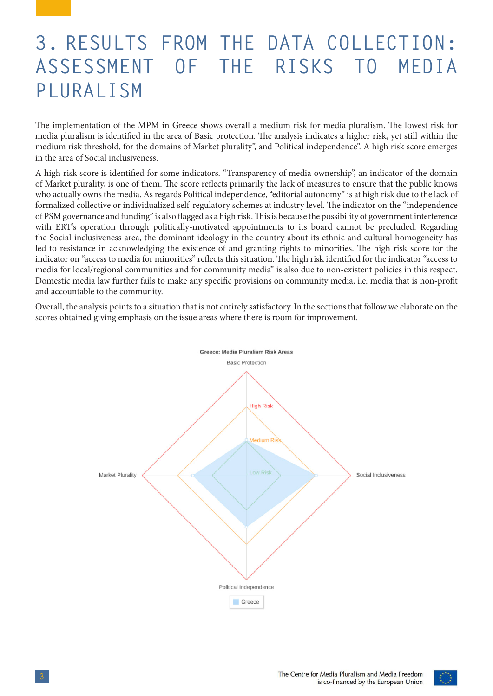### <span id="page-4-0"></span>**3. RESULTS FROM THE DATA COLLECTION: ASSESSMENT OF THE RISKS TO MEDIA PLURALISM**

Τhe implementation of the MPM in Greece shows overall a medium risk for media pluralism. The lowest risk for media pluralism is identified in the area of Basic protection. The analysis indicates a higher risk, yet still within the medium risk threshold, for the domains of Market plurality", and Political independence". A high risk score emerges in the area of Social inclusiveness.

A high risk score is identified for some indicators. "Transparency of media ownership", an indicator of the domain of Market plurality, is one of them. The score reflects primarily the lack of measures to ensure that the public knows who actually owns the media. As regards Political independence, "editorial autonomy" is at high risk due to the lack of formalized collective or individualized self-regulatory schemes at industry level. The indicator on the "independence of PSM governance and funding" is also flagged as a high risk. This is because the possibility of government interference with ERT's operation through politically-motivated appointments to its board cannot be precluded. Regarding the Social inclusiveness area, the dominant ideology in the country about its ethnic and cultural homogeneity has led to resistance in acknowledging the existence of and granting rights to minorities. The high risk score for the indicator on "access to media for minorities" reflects this situation. The high risk identified for the indicator "access to media for local/regional communities and for community media" is also due to non-existent policies in this respect. Domestic media law further fails to make any specific provisions on community media, i.e. media that is non-profit and accountable to the community.

Overall, the analysis points to a situation that is not entirely satisfactory. In the sections that follow we elaborate on the scores obtained giving emphasis on the issue areas where there is room for improvement.



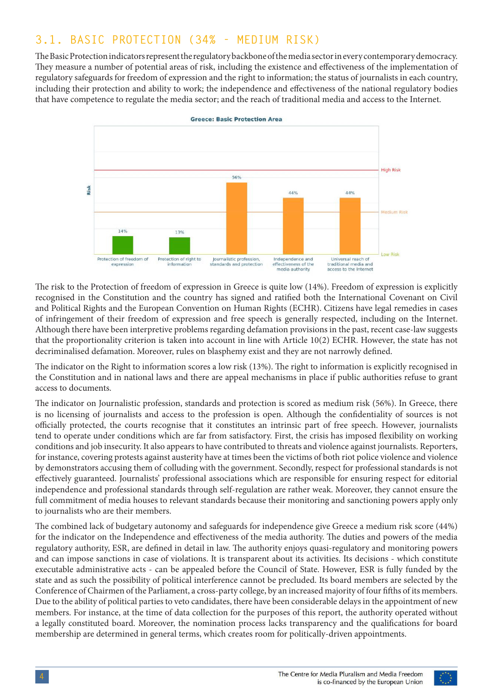### <span id="page-5-0"></span>**3.1. BASIC PROTECTION (34% - MEDIUM RISK)**

The Basic Protection indicators represent the regulatory backbone of the media sector in every contemporary democracy. They measure a number of potential areas of risk, including the existence and effectiveness of the implementation of regulatory safeguards for freedom of expression and the right to information; the status of journalists in each country, including their protection and ability to work; the independence and effectiveness of the national regulatory bodies that have competence to regulate the media sector; and the reach of traditional media and access to the Internet.



The risk to the Protection of freedom of expression in Greece is quite low (14%). Freedom of expression is explicitly recognised in the Constitution and the country has signed and ratified both the International Covenant on Civil and Political Rights and the European Convention on Human Rights (ECHR). Citizens have legal remedies in cases of infringement of their freedom of expression and free speech is generally respected, including on the Internet. Although there have been interpretive problems regarding defamation provisions in the past, recent case-law suggests that the proportionality criterion is taken into account in line with Article 10(2) ECHR. However, the state has not decriminalised defamation. Moreover, rules on blasphemy exist and they are not narrowly defined.

The indicator on the Right to information scores a low risk (13%). The right to information is explicitly recognised in the Constitution and in national laws and there are appeal mechanisms in place if public authorities refuse to grant access to documents.

The indicator on Journalistic profession, standards and protection is scored as medium risk (56%). In Greece, there is no licensing of journalists and access to the profession is open. Although the confidentiality of sources is not officially protected, the courts recognise that it constitutes an intrinsic part of free speech. However, journalists tend to operate under conditions which are far from satisfactory. First, the crisis has imposed flexibility on working conditions and job insecurity. It also appears to have contributed to threats and violence against journalists. Reporters, for instance, covering protests against austerity have at times been the victims of both riot police violence and violence by demonstrators accusing them of colluding with the government. Secondly, respect for professional standards is not effectively guaranteed. Journalists' professional associations which are responsible for ensuring respect for editorial independence and professional standards through self-regulation are rather weak. Moreover, they cannot ensure the full commitment of media houses to relevant standards because their monitoring and sanctioning powers apply only to journalists who are their members.

The combined lack of budgetary autonomy and safeguards for independence give Greece a medium risk score (44%) for the indicator on the Independence and effectiveness of the media authority. The duties and powers of the media regulatory authority, ESR, are defined in detail in law. The authority enjoys quasi-regulatory and monitoring powers and can impose sanctions in case of violations. It is transparent about its activities. Its decisions - which constitute executable administrative acts - can be appealed before the Council of State. However, ESR is fully funded by the state and as such the possibility of political interference cannot be precluded. Its board members are selected by the Conference of Chairmen of the Parliament, a cross-party college, by an increased majority of four fifths of its members. Due to the ability of political parties to veto candidates, there have been considerable delays in the appointment of new members. For instance, at the time of data collection for the purposes of this report, the authority operated without a legally constituted board. Moreover, the nomination process lacks transparency and the qualifications for board membership are determined in general terms, which creates room for politically-driven appointments.

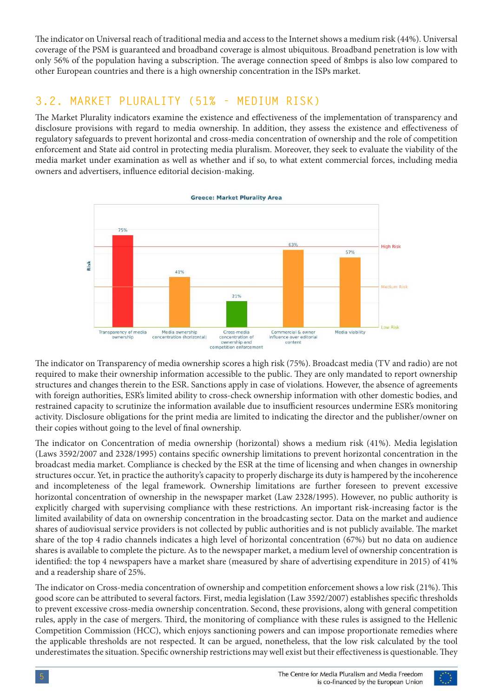<span id="page-6-0"></span>The indicator on Universal reach of traditional media and access to the Internet shows a medium risk (44%). Universal coverage of the PSM is guaranteed and broadband coverage is almost ubiquitous. Broadband penetration is low with only 56% of the population having a subscription. The average connection speed of 8mbps is also low compared to other European countries and there is a high ownership concentration in the ISPs market.

#### **3.2. MARKET PLURALITY (51% - MEDIUM RISK)**

The Market Plurality indicators examine the existence and effectiveness of the implementation of transparency and disclosure provisions with regard to media ownership. In addition, they assess the existence and effectiveness of regulatory safeguards to prevent horizontal and cross-media concentration of ownership and the role of competition enforcement and State aid control in protecting media pluralism. Moreover, they seek to evaluate the viability of the media market under examination as well as whether and if so, to what extent commercial forces, including media owners and advertisers, influence editorial decision-making.



The indicator on Transparency of media ownership scores a high risk (75%). Broadcast media (TV and radio) are not required to make their ownership information accessible to the public. They are only mandated to report ownership structures and changes therein to the ESR. Sanctions apply in case of violations. However, the absence of agreements with foreign authorities, ESR's limited ability to cross-check ownership information with other domestic bodies, and restrained capacity to scrutinize the information available due to insufficient resources undermine ESR's monitoring activity. Disclosure obligations for the print media are limited to indicating the director and the publisher/owner on their copies without going to the level of final ownership.

The indicator on Concentration of media ownership (horizontal) shows a medium risk (41%). Media legislation (Laws 3592/2007 and 2328/1995) contains specific ownership limitations to prevent horizontal concentration in the broadcast media market. Compliance is checked by the ESR at the time of licensing and when changes in ownership structures occur. Yet, in practice the authority's capacity to properly discharge its duty is hampered by the incoherence and incompleteness of the legal framework. Ownership limitations are further foreseen to prevent excessive horizontal concentration of ownership in the newspaper market (Law 2328/1995). However, no public authority is explicitly charged with supervising compliance with these restrictions. An important risk-increasing factor is the limited availability of data on ownership concentration in the broadcasting sector. Data on the market and audience shares of audiovisual service providers is not collected by public authorities and is not publicly available. The market share of the top 4 radio channels indicates a high level of horizontal concentration (67%) but no data on audience shares is available to complete the picture. As to the newspaper market, a medium level of ownership concentration is identified: the top 4 newspapers have a market share (measured by share of advertising expenditure in 2015) of 41% and a readership share of 25%.

The indicator on Cross-media concentration of ownership and competition enforcement shows a low risk (21%). This good score can be attributed to several factors. First, media legislation (Law 3592/2007) establishes specific thresholds to prevent excessive cross-media ownership concentration. Second, these provisions, along with general competition rules, apply in the case of mergers. Third, the monitoring of compliance with these rules is assigned to the Hellenic Competition Commission (HCC), which enjoys sanctioning powers and can impose proportionate remedies where the applicable thresholds are not respected. It can be argued, nonetheless, that the low risk calculated by the tool underestimates the situation. Specific ownership restrictions may well exist but their effectiveness is questionable. They

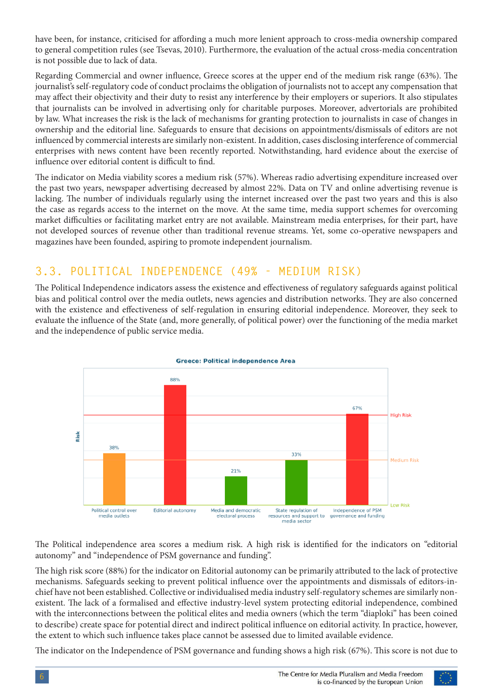<span id="page-7-0"></span>have been, for instance, criticised for affording a much more lenient approach to cross-media ownership compared to general competition rules (see Tsevas, 2010). Furthermore, the evaluation of the actual cross-media concentration is not possible due to lack of data.

Regarding Commercial and owner influence, Greece scores at the upper end of the medium risk range (63%). The journalist's self-regulatory code of conduct proclaims the obligation of journalists not to accept any compensation that may affect their objectivity and their duty to resist any interference by their employers or superiors. It also stipulates that journalists can be involved in advertising only for charitable purposes. Moreover, advertorials are prohibited by law. What increases the risk is the lack of mechanisms for granting protection to journalists in case of changes in ownership and the editorial line. Safeguards to ensure that decisions on appointments/dismissals of editors are not influenced by commercial interests are similarly non-existent. In addition, cases disclosing interference of commercial enterprises with news content have been recently reported. Notwithstanding, hard evidence about the exercise of influence over editorial content is difficult to find.

The indicator on Media viability scores a medium risk (57%). Whereas radio advertising expenditure increased over the past two years, newspaper advertising decreased by almost 22%. Data on TV and online advertising revenue is lacking. The number of individuals regularly using the internet increased over the past two years and this is also the case as regards access to the internet on the move. At the same time, media support schemes for overcoming market difficulties or facilitating market entry are not available. Mainstream media enterprises, for their part, have not developed sources of revenue other than traditional revenue streams. Yet, some co-operative newspapers and magazines have been founded, aspiring to promote independent journalism.

### **3.3. POLITICAL INDEPENDENCE (49% - MEDIUM RISK)**

The Political Independence indicators assess the existence and effectiveness of regulatory safeguards against political bias and political control over the media outlets, news agencies and distribution networks. They are also concerned with the existence and effectiveness of self-regulation in ensuring editorial independence. Moreover, they seek to evaluate the influence of the State (and, more generally, of political power) over the functioning of the media market and the independence of public service media.



The Political independence area scores a medium risk. A high risk is identified for the indicators on "editorial autonomy" and "independence of PSM governance and funding".

The high risk score (88%) for the indicator on Editorial autonomy can be primarily attributed to the lack of protective mechanisms. Safeguards seeking to prevent political influence over the appointments and dismissals of editors-inchief have not been established. Collective or individualised media industry self-regulatory schemes are similarly nonexistent. The lack of a formalised and effective industry-level system protecting editorial independence, combined with the interconnections between the political elites and media owners (which the term "diaploki" has been coined to describe) create space for potential direct and indirect political influence on editorial activity. In practice, however, the extent to which such influence takes place cannot be assessed due to limited available evidence.

The indicator on the Independence of PSM governance and funding shows a high risk (67%). This score is not due to

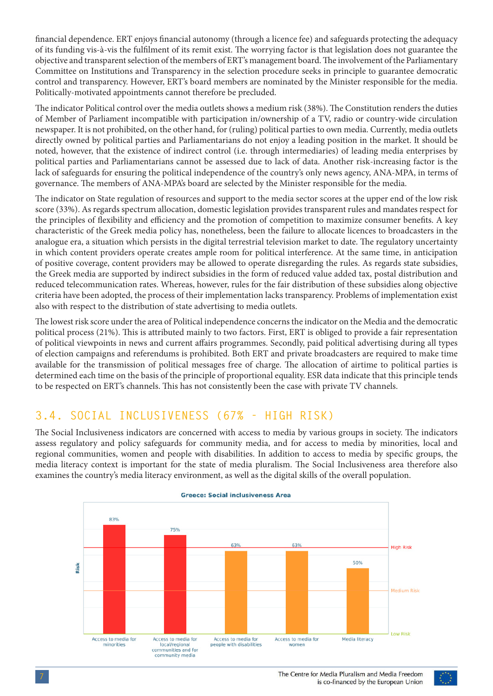<span id="page-8-0"></span>financial dependence. ERT enjoys financial autonomy (through a licence fee) and safeguards protecting the adequacy of its funding vis-à-vis the fulfilment of its remit exist. The worrying factor is that legislation does not guarantee the objective and transparent selection of the members of ERT's management board. The involvement of the Parliamentary Committee on Institutions and Transparency in the selection procedure seeks in principle to guarantee democratic control and transparency. However, ERT's board members are nominated by the Minister responsible for the media. Politically-motivated appointments cannot therefore be precluded.

The indicator Political control over the media outlets shows a medium risk (38%). The Constitution renders the duties of Member of Parliament incompatible with participation in/ownership of a TV, radio or country-wide circulation newspaper. It is not prohibited, on the other hand, for (ruling) political parties to own media. Currently, media outlets directly owned by political parties and Parliamentarians do not enjoy a leading position in the market. It should be noted, however, that the existence of indirect control (i.e. through intermediaries) of leading media enterprises by political parties and Parliamentarians cannot be assessed due to lack of data. Another risk-increasing factor is the lack of safeguards for ensuring the political independence of the country's only news agency, ANA-MPA, in terms of governance. The members of ANA-MPA's board are selected by the Minister responsible for the media.

The indicator on State regulation of resources and support to the media sector scores at the upper end of the low risk score (33%). As regards spectrum allocation, domestic legislation provides transparent rules and mandates respect for the principles of flexibility and efficiency and the promotion of competition to maximize consumer benefits. A key characteristic of the Greek media policy has, nonetheless, been the failure to allocate licences to broadcasters in the analogue era, a situation which persists in the digital terrestrial television market to date. The regulatory uncertainty in which content providers operate creates ample room for political interference. At the same time, in anticipation of positive coverage, content providers may be allowed to operate disregarding the rules. As regards state subsidies, the Greek media are supported by indirect subsidies in the form of reduced value added tax, postal distribution and reduced telecommunication rates. Whereas, however, rules for the fair distribution of these subsidies along objective criteria have been adopted, the process of their implementation lacks transparency. Problems of implementation exist also with respect to the distribution of state advertising to media outlets.

The lowest risk score under the area of Political independence concerns the indicator on the Media and the democratic political process (21%). This is attributed mainly to two factors. First, ERT is obliged to provide a fair representation of political viewpoints in news and current affairs programmes. Secondly, paid political advertising during all types of election campaigns and referendums is prohibited. Both ERT and private broadcasters are required to make time available for the transmission of political messages free of charge. The allocation of airtime to political parties is determined each time on the basis of the principle of proportional equality. ESR data indicate that this principle tends to be respected on ERT's channels. This has not consistently been the case with private TV channels.

### **3.4. SOCIAL INCLUSIVENESS (67% - HIGH RISK)**

The Social Inclusiveness indicators are concerned with access to media by various groups in society. The indicators assess regulatory and policy safeguards for community media, and for access to media by minorities, local and regional communities, women and people with disabilities. In addition to access to media by specific groups, the media literacy context is important for the state of media pluralism. The Social Inclusiveness area therefore also examines the country's media literacy environment, as well as the digital skills of the overall population.



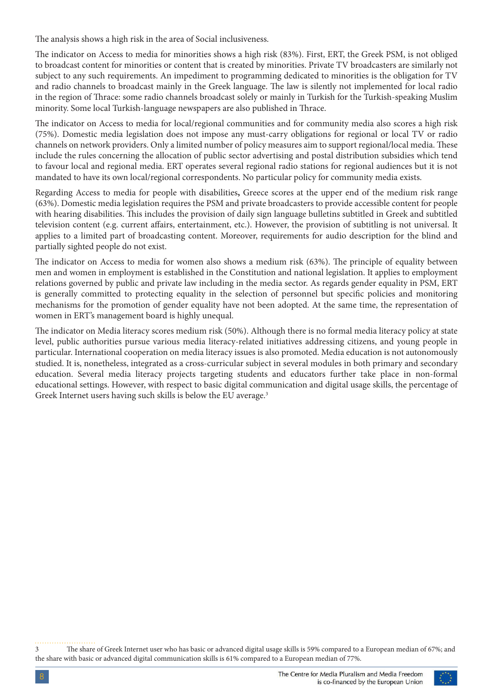The analysis shows a high risk in the area of Social inclusiveness.

The indicator on Access to media for minorities shows a high risk (83%). First, ERT, the Greek PSM, is not obliged to broadcast content for minorities or content that is created by minorities. Private TV broadcasters are similarly not subject to any such requirements. An impediment to programming dedicated to minorities is the obligation for TV and radio channels to broadcast mainly in the Greek language. The law is silently not implemented for local radio in the region of Thrace: some radio channels broadcast solely or mainly in Turkish for the Turkish-speaking Muslim minority. Some local Turkish-language newspapers are also published in Thrace.

The indicator on Access to media for local/regional communities and for community media also scores a high risk (75%). Domestic media legislation does not impose any must-carry obligations for regional or local TV or radio channels on network providers. Only a limited number of policy measures aim to support regional/local media. These include the rules concerning the allocation of public sector advertising and postal distribution subsidies which tend to favour local and regional media. ERT operates several regional radio stations for regional audiences but it is not mandated to have its own local/regional correspondents. No particular policy for community media exists.

Regarding Access to media for people with disabilities**,** Greece scores at the upper end of the medium risk range (63%). Domestic media legislation requires the PSM and private broadcasters to provide accessible content for people with hearing disabilities. This includes the provision of daily sign language bulletins subtitled in Greek and subtitled television content (e.g. current affairs, entertainment, etc.). However, the provision of subtitling is not universal. It applies to a limited part of broadcasting content. Moreover, requirements for audio description for the blind and partially sighted people do not exist.

The indicator on Access to media for women also shows a medium risk (63%). The principle of equality between men and women in employment is established in the Constitution and national legislation. It applies to employment relations governed by public and private law including in the media sector. As regards gender equality in PSM, ERT is generally committed to protecting equality in the selection of personnel but specific policies and monitoring mechanisms for the promotion of gender equality have not been adopted. At the same time, the representation of women in ERT's management board is highly unequal.

The indicator on Media literacy scores medium risk (50%). Although there is no formal media literacy policy at state level, public authorities pursue various media literacy-related initiatives addressing citizens, and young people in particular. International cooperation on media literacy issues is also promoted. Media education is not autonomously studied. It is, nonetheless, integrated as a cross-curricular subject in several modules in both primary and secondary education. Several media literacy projects targeting students and educators further take place in non-formal educational settings. However, with respect to basic digital communication and digital usage skills, the percentage of Greek Internet users having such skills is below the EU average.<sup>3</sup>

3 The share of Greek Internet user who has basic or advanced digital usage skills is 59% compared to a European median of 67%; and the share with basic or advanced digital communication skills is 61% compared to a European median of 77%.

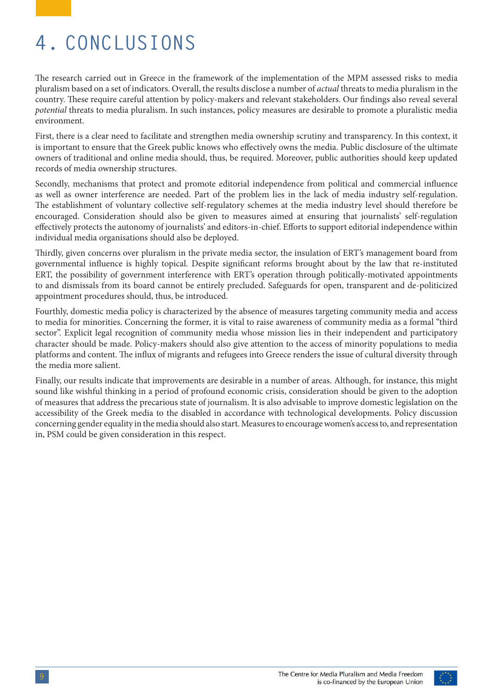## <span id="page-10-0"></span>**4. CONCLUSIONS**

The research carried out in Greece in the framework of the implementation of the MPM assessed risks to media pluralism based on a set of indicators. Overall, the results disclose a number of *actual* threats to media pluralism in the country. These require careful attention by policy-makers and relevant stakeholders. Our findings also reveal several *potential* threats to media pluralism. In such instances, policy measures are desirable to promote a pluralistic media environment.

First, there is a clear need to facilitate and strengthen media ownership scrutiny and transparency. In this context, it is important to ensure that the Greek public knows who effectively owns the media. Public disclosure of the ultimate owners of traditional and online media should, thus, be required. Moreover, public authorities should keep updated records of media ownership structures.

Secondly, mechanisms that protect and promote editorial independence from political and commercial influence as well as owner interference are needed. Part of the problem lies in the lack of media industry self-regulation. The establishment of voluntary collective self-regulatory schemes at the media industry level should therefore be encouraged. Consideration should also be given to measures aimed at ensuring that journalists' self-regulation effectively protects the autonomy of journalists' and editors-in-chief. Efforts to support editorial independence within individual media organisations should also be deployed.

Thirdly, given concerns over pluralism in the private media sector, the insulation of ERT's management board from governmental influence is highly topical. Despite significant reforms brought about by the law that re-instituted ERT, the possibility of government interference with ERT's operation through politically-motivated appointments to and dismissals from its board cannot be entirely precluded. Safeguards for open, transparent and de-politicized appointment procedures should, thus, be introduced.

Fourthly, domestic media policy is characterized by the absence of measures targeting community media and access to media for minorities. Concerning the former, it is vital to raise awareness of community media as a formal "third sector". Explicit legal recognition of community media whose mission lies in their independent and participatory character should be made. Policy-makers should also give attention to the access of minority populations to media platforms and content. The influx of migrants and refugees into Greece renders the issue of cultural diversity through the media more salient.

Finally, our results indicate that improvements are desirable in a number of areas. Although, for instance, this might sound like wishful thinking in a period of profound economic crisis, consideration should be given to the adoption of measures that address the precarious state of journalism. It is also advisable to improve domestic legislation on the accessibility of the Greek media to the disabled in accordance with technological developments. Policy discussion concerning gender equality in the media should also start. Measures to encourage women's access to, and representation in, PSM could be given consideration in this respect.

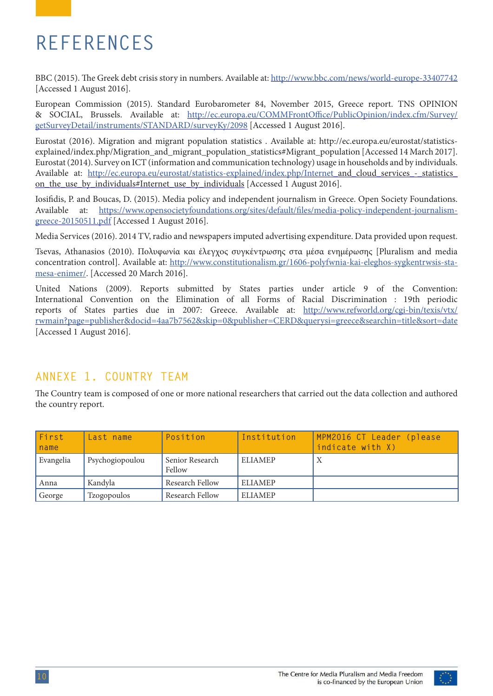### <span id="page-11-0"></span>**REFERENCES**

BBC (2015). The Greek debt crisis story in numbers. Available at:<http://www.bbc.com/news/world-europe-33407742> [Accessed 1 August 2016].

European Commission (2015). Standard Eurobarometer 84, November 2015, Greece report. TNS OPINION & SOCIAL, Brussels. Available at: [http://ec.europa.eu/COMMFrontOffice/PublicOpinion/index.cfm/Survey/](http://ec.europa.eu/COMMFrontOffice/PublicOpinion/index.cfm/Survey/getSurveyDetail/instruments/STAND) [getSurveyDetail/instruments/STANDARD/surveyKy/2098](http://ec.europa.eu/COMMFrontOffice/PublicOpinion/index.cfm/Survey/getSurveyDetail/instruments/STAND) [Accessed 1 August 2016].

Eurostat (2016). Migration and migrant population statistics . Available at: http://ec.europa.eu/eurostat/statisticsexplained/index.php/Migration\_and\_migrant\_population\_statistics#Migrant\_population [Accessed 14 March 2017]. Eurostat (2014). Survey on ICT (information and communication technology) usage in households and by individuals. Available at: [http://ec.europa.eu/eurostat/statistics-explained/index.php/Internet\\_](http://ec.europa.eu/eurostat/statistics-explained/index.php/Internet)and\_cloud\_services\_-\_statistics\_ on the use by individuals#Internet use by individuals [Accessed 1 August 2016].

Iosifidis, P. and Boucas, D. (2015). Media policy and independent journalism in Greece. Open Society Foundations. Available at: [https://www.opensocietyfoundations.org/sites/default/files/media-policy-independent-journalism](https://www.opensocietyfoundations.org/sites/default/files/media-policy-independent-journalism-greece-20150511.pdf)[greece-20150511.pdf](https://www.opensocietyfoundations.org/sites/default/files/media-policy-independent-journalism-greece-20150511.pdf) [Accessed 1 August 2016].

Media Services (2016). 2014 TV, radio and newspapers imputed advertising expenditure. Data provided upon request.

Tsevas, Athanasios (2010). Πολυφωνία και έλεγχος συγκέντρωσης στα μέσα ενημέρωσης [Pluralism and media concentration control]. Available at: [http://www.constitutionalism.gr/1606-polyfwnia-kai-eleghos-sygkentrwsis-sta](http://www.constitutionalism.gr/1606-polyfwnia-kai-eleghos-sygkentrwsis-sta-mesa-enimer/)[mesa-enimer/](http://www.constitutionalism.gr/1606-polyfwnia-kai-eleghos-sygkentrwsis-sta-mesa-enimer/). [Accessed 20 March 2016].

United Nations (2009). Reports submitted by States parties under article 9 of the Convention: International Convention on the Elimination of all Forms of Racial Discrimination : 19th periodic reports of States parties due in 2007: Greece. Available at: [http://www.refworld.org/cgi-bin/texis/vtx/](http://www.refworld.org/cgi-bin/texis/vtx/rwmain?page=publisher&docid=4aa7b7562&skip=0&publisher=CER) [rwmain?page=publisher&docid=4aa7b7562&skip=0&publisher=CERD&querysi=greece&searchin=title&sort=date](http://www.refworld.org/cgi-bin/texis/vtx/rwmain?page=publisher&docid=4aa7b7562&skip=0&publisher=CER) [Accessed 1 August 2016].

#### **ANNEXE 1. COUNTRY TEAM**

The Country team is composed of one or more national researchers that carried out the data collection and authored the country report.

| First<br>name | Last name       | Position                  | Institution    | MPM2016 CT Leader (please<br>indicate with X) |
|---------------|-----------------|---------------------------|----------------|-----------------------------------------------|
| Evangelia     | Psychogiopoulou | Senior Research<br>Fellow | <b>ELIAMEP</b> | Χ                                             |
| Anna          | Kandvla         | Research Fellow           | <b>ELIAMEP</b> |                                               |
| George        | Tzogopoulos     | Research Fellow           | <b>ELIAMEP</b> |                                               |

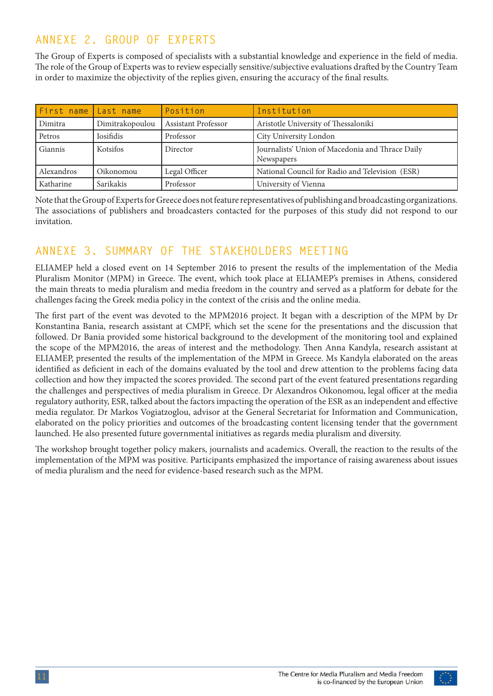### <span id="page-12-0"></span>**ANNEXE 2. GROUP OF EXPERTS**

The Group of Experts is composed of specialists with a substantial knowledge and experience in the field of media. The role of the Group of Experts was to review especially sensitive/subjective evaluations drafted by the Country Team in order to maximize the objectivity of the replies given, ensuring the accuracy of the final results.

| First name Last name |                  | Position                   | Institution                                                    |
|----------------------|------------------|----------------------------|----------------------------------------------------------------|
| Dimitra              | Dimitrakopoulou  | <b>Assistant Professor</b> | Aristotle University of Thessaloniki                           |
| Petros               | <b>Iosifidis</b> | Professor                  | City University London                                         |
| Giannis              | <b>Kotsifos</b>  | Director                   | Journalists' Union of Macedonia and Thrace Daily<br>Newspapers |
| Alexandros           | Oikonomou        | Legal Officer              | National Council for Radio and Television (ESR)                |
| Katharine            | Sarikakis        | Professor                  | University of Vienna                                           |

Note that the Group of Experts for Greece does not feature representatives of publishing and broadcasting organizations. The associations of publishers and broadcasters contacted for the purposes of this study did not respond to our invitation.

#### **ANNEXE 3. SUMMARY OF THE STAKEHOLDERS MEETING**

ELIAMEP held a closed event on 14 September 2016 to present the results of the implementation of the Media Pluralism Monitor (MPM) in Greece. The event, which took place at ELIAMEP's premises in Athens, considered the main threats to media pluralism and media freedom in the country and served as a platform for debate for the challenges facing the Greek media policy in the context of the crisis and the online media.

The first part of the event was devoted to the MPM2016 project. It began with a description of the MPM by Dr Konstantina Bania, research assistant at CMPF, which set the scene for the presentations and the discussion that followed. Dr Bania provided some historical background to the development of the monitoring tool and explained the scope of the MPM2016, the areas of interest and the methodology. Then Anna Kandyla, research assistant at ELIAMEP, presented the results of the implementation of the MPM in Greece. Ms Kandyla elaborated on the areas identified as deficient in each of the domains evaluated by the tool and drew attention to the problems facing data collection and how they impacted the scores provided. The second part of the event featured presentations regarding the challenges and perspectives of media pluralism in Greece. Dr Alexandros Oikonomou, legal officer at the media regulatory authority, ESR, talked about the factors impacting the operation of the ESR as an independent and effective media regulator. Dr Markos Vogiatzoglou, advisor at the General Secretariat for Information and Communication, elaborated on the policy priorities and outcomes of the broadcasting content licensing tender that the government launched. He also presented future governmental initiatives as regards media pluralism and diversity.

The workshop brought together policy makers, journalists and academics. Overall, the reaction to the results of the implementation of the MPM was positive. Participants emphasized the importance of raising awareness about issues of media pluralism and the need for evidence-based research such as the MPM.